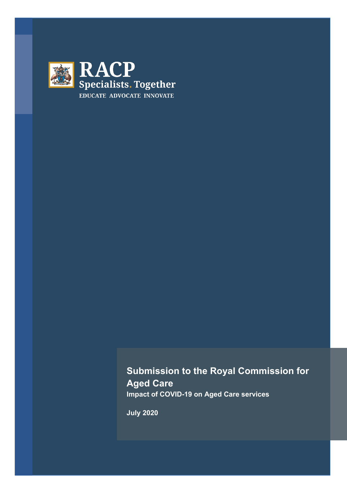

# **Submission to the Royal Commission for Aged Care Impact of COVID-19 on Aged Care services**

**July 2020**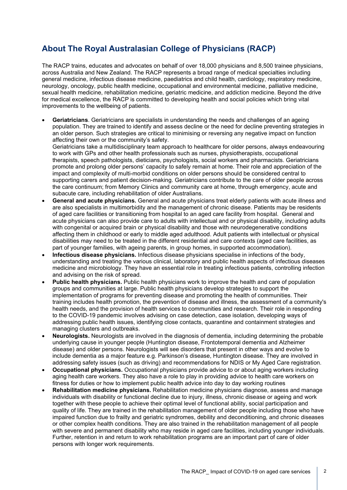### **About The Royal Australasian College of Physicians (RACP)**

The RACP trains, educates and advocates on behalf of over 18,000 physicians and 8,500 trainee physicians, across Australia and New Zealand. The RACP represents a broad range of medical specialties including general medicine, infectious disease medicine, paediatrics and child health, cardiology, respiratory medicine, neurology, oncology, public health medicine, occupational and environmental medicine, palliative medicine, sexual health medicine, rehabilitation medicine, geriatric medicine, and addiction medicine. Beyond the drive for medical excellence, the RACP is committed to developing health and social policies which bring vital improvements to the wellbeing of patients.

• **Geriatricians**. Geriatricians are specialists in understanding the needs and challenges of an ageing population. They are trained to identify and assess decline or the need for decline preventing strategies in an older person. Such strategies are critical to minimising or reversing any negative impact on function affecting their own or the community's safety.

Geriatricians take a multidisciplinary team approach to healthcare for older persons, always endeavouring to work with GPs and other health professionals such as nurses, physiotherapists, occupational therapists, speech pathologists, dieticians, psychologists, social workers and pharmacists. Geriatricians promote and prolong older persons' capacity to safely remain at home. Their role and appreciation of the impact and complexity of multi-morbid conditions on older persons should be considered central to supporting carers and patient decision-making. Geriatricians contribute to the care of older people across the care continuum; from Memory Clinics and community care at home, through emergency, acute and subacute care, including rehabilitation of older Australians.

- **General and acute physicians.** General and acute physicians treat elderly patients with acute illness and are also specialists in multimorbidity and the management of chronic disease. Patients may be residents of aged care facilities or transitioning from hospital to an aged care facility from hospital. General and acute physicians can also provide care to adults with intellectual and or physical disability, including adults with congenital or acquired brain or physical disability and those with neurodegenerative conditions affecting them in childhood or early to middle aged adulthood. Adult patients with intellectual or physical disabilities may need to be treated in the different residential and care contexts (aged care facilities, as part of younger families, with ageing parents, in group homes, in supported accommodation).
- **Infectious disease physicians.** Infectious disease physicians specialise in infections of the body, understanding and treating the various clinical, laboratory and public health aspects of infectious diseases medicine and microbiology. They have an essential role in treating infectious patients, controlling infection and advising on the risk of spread.
- **Public health physicians.** Public health physicians work to improve the health and care of population groups and communities at large. Public health physicians develop strategies to support the implementation of programs for preventing disease and promoting the health of communities. Their training includes health promotion, the prevention of disease and illness, the assessment of a community's health needs, and the provision of health services to communities and research. Their role in responding to the COVID-19 pandemic involves advising on case detection, case isolation, developing ways of addressing public health issues, identifying close contacts, quarantine and containment strategies and managing clusters and outbreaks.
- **Neurologists.** Neurologists are involved in the diagnosis of dementia, including determining the probable underlying cause in younger people (Huntington disease, Frontotemporal dementia and Alzheimer disease) and older persons. Neurologists will see disorders that present in other ways and evolve to include dementia as a major feature e.g. Parkinson's disease, Huntington disease. They are involved in addressing safety issues (such as driving) and recommendations for NDIS or My Aged Care registration.
- **Occupational physicians.** Occupational physicians provide advice to or about aging workers including aging health care workers. They also have a role to play in providing advice to health care workers on fitness for duties or how to implement public health advice into day to day working routines
- **Rehabilitation medicine physicians.** Rehabilitation medicine physicians diagnose, assess and manage individuals with disability or functional decline due to injury, illness, chronic disease or ageing and work together with these people to achieve their optimal level of functional ability, social participation and quality of life. They are trained in the rehabilitation management of older people including those who have impaired function due to frailty and geriatric syndromes, debility and deconditioning, and chronic diseases or other complex health conditions. They are also trained in the rehabilitation management of all people with severe and permanent disability who may reside in aged care facilities, including younger individuals. Further, retention in and return to work rehabilitation programs are an important part of care of older persons with longer work requirements.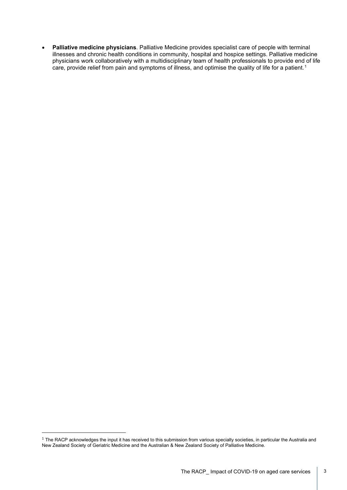• **Palliative medicine physicians**. Palliative Medicine provides specialist care of people with terminal illnesses and chronic health conditions in community, hospital and hospice settings. Palliative medicine physicians work collaboratively with a multidisciplinary team of health professionals to provide end of life care, provide relief from pain and symptoms of illness, and optimise the quality of life for a patient.<sup>[1](#page-2-0)</sup>

<span id="page-2-0"></span> $1$  The RACP acknowledges the input it has received to this submission from various specialty societies, in particular the Australia and New Zealand Society of Geriatric Medicine and the Australian & New Zealand Society of Palliative Medicine.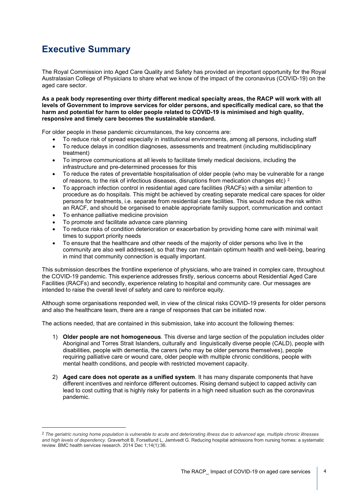# **Executive Summary**

The Royal Commission into Aged Care Quality and Safety has provided an important opportunity for the Royal Australasian College of Physicians to share what we know of the impact of the coronavirus (COVID-19) on the aged care sector.

**As a peak body representing over thirty different medical specialty areas, the RACP will work with all levels of Government to improve services for older persons, and specifically medical care, so that the harm and potential for harm to older people related to COVID-19 is minimised and high quality, responsive and timely care becomes the sustainable standard.** 

For older people in these pandemic circumstances, the key concerns are:

- To reduce risk of spread especially in institutional environments, among all persons, including staff
- To reduce delays in condition diagnoses, assessments and treatment (including multidisciplinary treatment)
- To improve communications at all levels to facilitate timely medical decisions, including the infrastructure and pre-determined processes for this
- To reduce the rates of preventable hospitalisation of older people (who may be vulnerable for a range of reasons, to the risk of infectious diseases, disruptions from medication changes etc)  $2$
- To approach infection control in residential aged care facilities (RACFs) with a similar attention to procedure as do hospitals. This might be achieved by creating separate medical care spaces for older persons for treatments, i.e. separate from residential care facilities. This would reduce the risk within an RACF, and should be organised to enable appropriate family support, communication and contact
- To enhance palliative medicine provision
- To promote and facilitate advance care planning
- To reduce risks of condition deterioration or exacerbation by providing home care with minimal wait times to support priority needs
- To ensure that the healthcare and other needs of the majority of older persons who live in the community are also well addressed, so that they can maintain optimum health and well-being, bearing in mind that community connection is equally important.

This submission describes the frontline experience of physicians, who are trained in complex care, throughout the COVID-19 pandemic. This experience addresses firstly, serious concerns about Residential Aged Care Facilities (RACFs) and secondly, experience relating to hospital and community care. Our messages are intended to raise the overall level of safety and care to reinforce equity.

Although some organisations responded well, in view of the clinical risks COVID-19 presents for older persons and also the healthcare team, there are a range of responses that can be initiated now.

The actions needed, that are contained in this submission, take into account the following themes:

- 1) **Older people are not homogeneous**. This diverse and large section of the population includes older Aboriginal and Torres Strait Islanders, culturally and linguistically diverse people (CALD), people with disabilities, people with dementia, the carers (who may be older persons themselves), people requiring palliative care or wound care, older people with multiple chronic conditions, people with mental health conditions, and people with restricted movement capacity.
- 2) **Aged care does not operate as a unified system**. It has many disparate components that have different incentives and reinforce different outcomes. Rising demand subject to capped activity can lead to cost cutting that is highly risky for patients in a high need situation such as the coronavirus pandemic.

<span id="page-3-0"></span><sup>2</sup> *The geriatric nursing home population is vulnerable to acute and deteriorating illness due to advanced age, multiple chronic illnesses and high levels of dependency*. Graverholt B, Forsetlund L, Jamtvedt G. Reducing hospital admissions from nursing homes: a systematic review. BMC health services research. 2014 Dec 1;14(1):36.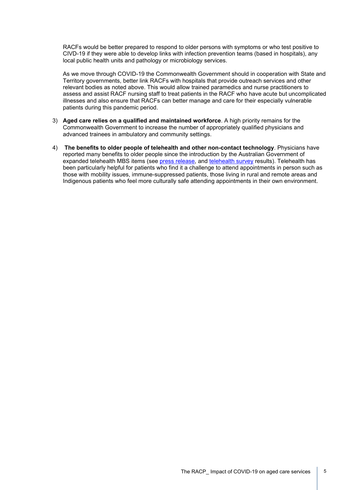RACFs would be better prepared to respond to older persons with symptoms or who test positive to CIVD-19 if they were able to develop links with infection prevention teams (based in hospitals), any local public health units and pathology or microbiology services.

As we move through COVID-19 the Commonwealth Government should in cooperation with State and Territory governments, better link RACFs with hospitals that provide outreach services and other relevant bodies as noted above. This would allow trained paramedics and nurse practitioners to assess and assist RACF nursing staff to treat patients in the RACF who have acute but uncomplicated illnesses and also ensure that RACFs can better manage and care for their especially vulnerable patients during this pandemic period.

- 3) **Aged care relies on a qualified and maintained workforce**. A high priority remains for the Commonwealth Government to increase the number of appropriately qualified physicians and advanced trainees in ambulatory and community settings.
- 4) **The benefits to older people of telehealth and other non-contact technology**. Physicians have reported many benefits to older people since the introduction by the Australian Government of expanded telehealth MBS items (see [press release,](https://www.racp.edu.au/news-and-events/media-releases/racp-supports-expansion-of-telehealth) and [telehealth survey](https://www.racp.edu.au/news-and-events/media-releases/survey-of-specialists-shows-telehealth-can-improve-access-and-equity-permanently) results). Telehealth has been particularly helpful for patients who find it a challenge to attend appointments in person such as those with mobility issues, immune-suppressed patients, those living in rural and remote areas and Indigenous patients who feel more culturally safe attending appointments in their own environment.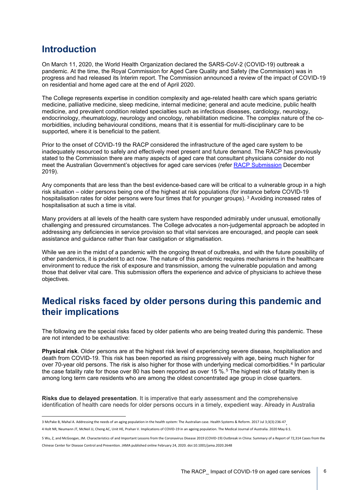### **Introduction**

On March 11, 2020, the World Health Organization declared the SARS-CoV-2 (COVID-19) outbreak a pandemic. At the time, the Royal Commission for Aged Care Quality and Safety (the Commission) was in progress and had released its Interim report. The Commission announced a review of the impact of COVID-19 on residential and home aged care at the end of April 2020.

The College represents expertise in condition complexity and age-related health care which spans geriatric medicine, palliative medicine, sleep medicine, internal medicine; general and acute medicine, public health medicine, and prevalent condition related specialties such as infectious diseases, cardiology, neurology, endocrinology, rheumatology, neurology and oncology, rehabilitation medicine. The complex nature of the comorbidities, including behavioural conditions, means that it is essential for multi-disciplinary care to be supported, where it is beneficial to the patient.

Prior to the onset of COVID-19 the RACP considered the infrastructure of the aged care system to be inadequately resourced to safely and effectively meet present and future demand. The RACP has previously stated to the Commission there are many aspects of aged care that consultant physicians consider do not meet the Australian Government's objectives for aged care services (refer [RACP Submission](https://www.racp.edu.au/docs/default-source/advocacy-library/submission-to-the-royal-commission-into-aged-care-quality-and-safety.pdf?sfvrsn=b534e21a_8) December 2019).

Any components that are less than the best evidence-based care will be critical to a vulnerable group in a high risk situation – older persons being one of the highest at risk populations (for instance before COVID-19 hospitalisation rates for older persons were four times that for younger groups). [3](#page-5-0) Avoiding increased rates of hospitalisation at such a time is vital.

Many providers at all levels of the health care system have responded admirably under unusual, emotionally challenging and pressured circumstances. The College advocates a non-judgemental approach be adopted in addressing any deficiencies in service provision so that vital services are encouraged, and people can seek assistance and guidance rather than fear castigation or stigmatisation.

While we are in the midst of a pandemic with the ongoing threat of outbreaks, and with the future possibility of other pandemics, it is prudent to act now. The nature of this pandemic requires mechanisms in the healthcare environment to reduce the risk of exposure and transmission, among the vulnerable population and among those that deliver vital care. This submission offers the experience and advice of physicians to achieve these objectives.

## **Medical risks faced by older persons during this pandemic and their implications**

The following are the special risks faced by older patients who are being treated during this pandemic. These are not intended to be exhaustive:

**Physical risk**. Older persons are at the highest risk level of experiencing severe disease, hospitalisation and death from COVID-19. This risk has been reported as rising progressively with age, being much higher for over 70-year old persons. The risk is also higher for those with underlying medical comorbidities.<sup>[4](#page-5-1)</sup> In particular the case fatality rate for those over 80 has been reported as over 1[5](#page-5-2) %.<sup>5</sup> The highest risk of fatality then is among long term care residents who are among the oldest concentrated age group in close quarters.

**Risks due to delayed presentation**. It is imperative that early assessment and the comprehensive identification of health care needs for older persons occurs in a timely, expedient way. Already in Australia

<span id="page-5-1"></span><span id="page-5-0"></span><sup>3</sup> McPake B, Mahal A. Addressing the needs of an aging population in the health system: The Australian case. Health Systems & Reform. 2017 Jul 3;3(3):236-47<br>4 Holt NR, Neumann JT, McNeil JJ, Cheng AC, Unit HE, Prahan V. Imp

<span id="page-5-2"></span><sup>5</sup> Wu, Z, and McGoogan, JM. Characteristics of and Important Lessons from the Coronavirus Disease 2019 (COVID-19) Outbreak in China: Summary of a Report of 72,314 Cases from the Chinese Center for Disease Control and Prevention. JAMA published online February 24, 2020. doi:10.1001/jama.2020.2648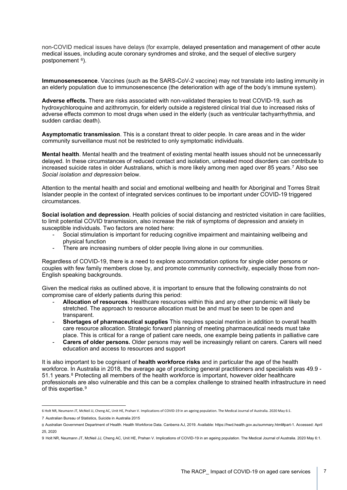non-COVID medical issues have delays (for example, delayed presentation and management of other acute medical issues, including acute coronary syndromes and stroke, and the sequel of elective surgery postponement [6](#page-6-0)).

**Immunosenescence**. Vaccines (such as the SARS-CoV-2 vaccine) may not translate into lasting immunity in an elderly population due to immunosenescence (the deterioration with age of the body's immune system).

**Adverse effects.** There are risks associated with non-validated therapies to treat COVID-19, such as hydroxychloroquine and azithromycin, for elderly outside a registered clinical trial due to increased risks of adverse effects common to most drugs when used in the elderly (such as ventricular tachyarrhythmia, and sudden cardiac death).

**Asymptomatic transmission**. This is a constant threat to older people. In care areas and in the wider community surveillance must not be restricted to only symptomatic individuals.

**Mental health**. Mental health and the treatment of existing mental health issues should not be unnecessarily delayed. In these circumstances of reduced contact and isolation, untreated mood disorders can contribute to increased suicide rates in older Australians, which is more likely among men aged over 85 years.<sup>[7](#page-6-1)</sup> Also see *Social isolation and depression* below.

Attention to the mental health and social and emotional wellbeing and health for Aboriginal and Torres Strait Islander people in the context of integrated services continues to be important under COVID-19 triggered circumstances.

**Social isolation and depression**. Health policies of social distancing and restricted visitation in care facilities, to limit potential COVID transmission, also increase the risk of symptoms of depression and anxiety in susceptible individuals. Two factors are noted here:

- Social stimulation is important for reducing cognitive impairment and maintaining wellbeing and physical function
- There are increasing numbers of older people living alone in our communities.

Regardless of COVID-19, there is a need to explore accommodation options for single older persons or couples with few family members close by, and promote community connectivity, especially those from non-English speaking backgrounds.

Given the medical risks as outlined above, it is important to ensure that the following constraints do not compromise care of elderly patients during this period:

- **Allocation of resources**. Healthcare resources within this and any other pandemic will likely be stretched. The approach to resource allocation must be and must be seen to be open and transparent.
- **Shortages of pharmaceutical supplies** This requires special mention in addition to overall health care resource allocation. Strategic forward planning of meeting pharmaceutical needs must take place. This is critical for a range of patient care needs, one example being patients in palliative care
- **Carers of older persons.** Older persons may well be increasingly reliant on carers. Carers will need education and access to resources and support

It is also important to be cognisant of **health workforce risks** and in particular the age of the health workforce. In Australia in 2018, the average age of practicing general practitioners and specialists was 49.9 - 51.1 years.<sup>[8](#page-6-2)</sup> Protecting all members of the health workforce is important, however older healthcare professionals are also vulnerable and this can be a complex challenge to strained health infrastructure in need of this expertise.<sup>[9](#page-6-3)</sup>

<span id="page-6-0"></span><sup>6</sup> Holt NR, Neumann JT, McNeil JJ, Cheng AC, Unit HE, Prahan V. Implications of COVID-19 in an ageing population. The Medical Journal of Australia. 2020 May 6:1.

<span id="page-6-1"></span><sup>7</sup> Australian Bureau of Statistics, Suicide in Australia 2015

<span id="page-6-2"></span><sup>8</sup> Australian Government Department of Health. Health Workforce Data. Canberra AJ, 2019. Available: https://hwd.health.gov.au/summary.html#part-1. Accessed: April 25, 2020

<span id="page-6-3"></span><sup>9</sup> Holt NR, Neumann JT, McNeil JJ, Cheng AC, Unit HE, Prahan V. Implications of COVID-19 in an ageing population. The Medical Journal of Australia. 2020 May 6:1.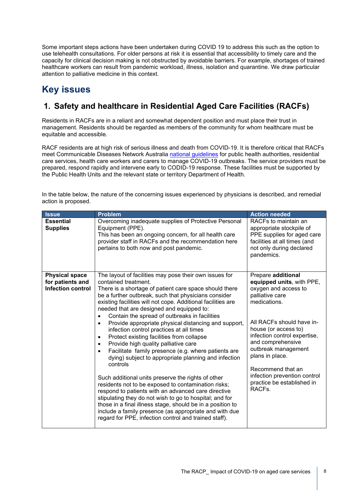Some important steps actions have been undertaken during COVID 19 to address this such as the option to use telehealth consultations. For older persons at risk it is essential that accessibility to timely care and the capacity for clinical decision making is not obstructed by avoidable barriers. For example, shortages of trained healthcare workers can result from pandemic workload, illness, isolation and quarantine. We draw particular attention to palliative medicine in this context.

## **Key issues**

### **1. Safety and healthcare in Residential Aged Care Facilities (RACFs)**

Residents in RACFs are in a reliant and somewhat dependent position and must place their trust in management. Residents should be regarded as members of the community for whom healthcare must be equitable and accessible.

RACF residents are at high risk of serious illness and death from COVID-19. It is therefore critical that RACFs meet Communicable Diseases Network Australia [national guidelines](https://www.health.gov.au/sites/default/files/documents/2020/06/coronavirus-covid-19-guidelines-for-outbreaks-in-residential-care-facilities.pdf) for public health authorities, residential care services, health care workers and carers to manage COVID-19 outbreaks. The service providers must be prepared, respond rapidly and intervene early to CODID-19 response. These facilities must be supported by the Public Health Units and the relevant state or territory Department of Health.

| <b>Issue</b>                        | <b>Problem</b>                                                                                                                                                                                                                                                                                                                                                                                                                                                                                                                                                                                                                                                                                                                                                                                                                                                                                                                                                                                                                               | <b>Action needed</b>                                                                                                                                                                                                                                                                                                 |
|-------------------------------------|----------------------------------------------------------------------------------------------------------------------------------------------------------------------------------------------------------------------------------------------------------------------------------------------------------------------------------------------------------------------------------------------------------------------------------------------------------------------------------------------------------------------------------------------------------------------------------------------------------------------------------------------------------------------------------------------------------------------------------------------------------------------------------------------------------------------------------------------------------------------------------------------------------------------------------------------------------------------------------------------------------------------------------------------|----------------------------------------------------------------------------------------------------------------------------------------------------------------------------------------------------------------------------------------------------------------------------------------------------------------------|
| <b>Essential</b><br><b>Supplies</b> | Overcoming inadequate supplies of Protective Personal<br>Equipment (PPE).<br>This has been an ongoing concern, for all health care<br>provider staff in RACFs and the recommendation here<br>pertains to both now and post pandemic.                                                                                                                                                                                                                                                                                                                                                                                                                                                                                                                                                                                                                                                                                                                                                                                                         | RACFs to maintain an<br>appropriate stockpile of<br>PPE supplies for aged care<br>facilities at all times (and<br>not only during declared<br>pandemics.                                                                                                                                                             |
| <b>Physical space</b>               | The layout of facilities may pose their own issues for                                                                                                                                                                                                                                                                                                                                                                                                                                                                                                                                                                                                                                                                                                                                                                                                                                                                                                                                                                                       | Prepare additional                                                                                                                                                                                                                                                                                                   |
| for patients and                    | contained treatment.                                                                                                                                                                                                                                                                                                                                                                                                                                                                                                                                                                                                                                                                                                                                                                                                                                                                                                                                                                                                                         | equipped units, with PPE,                                                                                                                                                                                                                                                                                            |
| <b>Infection control</b>            | There is a shortage of patient care space should there<br>be a further outbreak, such that physicians consider<br>existing facilities will not cope. Additional facilities are<br>needed that are designed and equipped to:<br>Contain the spread of outbreaks in facilities<br>Provide appropriate physical distancing and support,<br>٠<br>infection control practices at all times<br>Protect existing facilities from collapse<br>$\bullet$<br>Provide high quality palliative care<br>٠<br>Facilitate family presence (e.g. where patients are<br>٠<br>dying) subject to appropriate planning and infection<br>controls<br>Such additional units preserve the rights of other<br>residents not to be exposed to contamination risks;<br>respond to patients with an advanced care directive<br>stipulating they do not wish to go to hospital; and for<br>those in a final illness stage, should be in a position to<br>include a family presence (as appropriate and with due<br>regard for PPE, infection control and trained staff). | oxygen and access to<br>palliative care<br>medications.<br>All RACFs should have in-<br>house (or access to)<br>infection control expertise,<br>and comprehensive<br>outbreak management<br>plans in place.<br>Recommend that an<br>infection prevention control<br>practice be established in<br>RACF <sub>s.</sub> |

In the table below, the nature of the concerning issues experienced by physicians is described, and remedial action is proposed.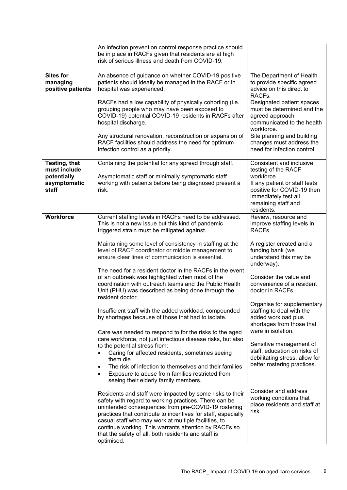|                   | An infection prevention control response practice should<br>be in place in RACFs given that residents are at high<br>risk of serious illness and death from COVID-19. |                                                  |
|-------------------|-----------------------------------------------------------------------------------------------------------------------------------------------------------------------|--------------------------------------------------|
|                   |                                                                                                                                                                       |                                                  |
| <b>Sites for</b>  | An absence of guidance on whether COVID-19 positive                                                                                                                   | The Department of Health                         |
| managing          | patients should ideally be managed in the RACF or in                                                                                                                  | to provide specific agreed                       |
| positive patients | hospital was experienced.                                                                                                                                             | advice on this direct to                         |
|                   |                                                                                                                                                                       | RACF <sub>s</sub> .                              |
|                   | RACFs had a low capability of physically cohorting (i.e.                                                                                                              | Designated patient spaces                        |
|                   | grouping people who may have been exposed to                                                                                                                          | must be determined and the                       |
|                   | COVID-19) potential COVID-19 residents in RACFs after                                                                                                                 | agreed approach                                  |
|                   | hospital discharge.                                                                                                                                                   | communicated to the health<br>workforce.         |
|                   | Any structural renovation, reconstruction or expansion of                                                                                                             | Site planning and building                       |
|                   | RACF facilities should address the need for optimum                                                                                                                   | changes must address the                         |
|                   | infection control as a priority.                                                                                                                                      | need for infection control.                      |
|                   |                                                                                                                                                                       |                                                  |
| Testing, that     | Containing the potential for any spread through staff.                                                                                                                | Consistent and inclusive                         |
| must include      |                                                                                                                                                                       | testing of the RACF                              |
| potentially       | Asymptomatic staff or minimally symptomatic staff                                                                                                                     | workforce.                                       |
| asymptomatic      | working with patients before being diagnosed present a                                                                                                                | If any patient or staff tests                    |
| staff             | risk.                                                                                                                                                                 | positive for COVID-19 then                       |
|                   |                                                                                                                                                                       | immediately test all                             |
|                   |                                                                                                                                                                       | remaining staff and                              |
|                   |                                                                                                                                                                       | residents.                                       |
| <b>Workforce</b>  | Current staffing levels in RACFs need to be addressed.                                                                                                                | Review, resource and                             |
|                   | This is not a new issue but this kind of pandemic                                                                                                                     | improve staffing levels in<br>RACFs.             |
|                   | triggered strain must be mitigated against.                                                                                                                           |                                                  |
|                   | Maintaining some level of consistency in staffing at the                                                                                                              | A register created and a                         |
|                   | level of RACF coordinator or middle management to                                                                                                                     | funding bank (we                                 |
|                   | ensure clear lines of communication is essential.                                                                                                                     | understand this may be                           |
|                   |                                                                                                                                                                       | underway).                                       |
|                   | The need for a resident doctor in the RACFs in the event                                                                                                              |                                                  |
|                   | of an outbreak was highlighted when most of the                                                                                                                       | Consider the value and                           |
|                   | coordination with outreach teams and the Public Health                                                                                                                | convenience of a resident                        |
|                   | Unit (PHU) was described as being done through the                                                                                                                    | doctor in RACFs.                                 |
|                   | resident doctor.                                                                                                                                                      |                                                  |
|                   |                                                                                                                                                                       | Organise for supplementary                       |
|                   | Insufficient staff with the added workload, compounded                                                                                                                | staffing to deal with the                        |
|                   | by shortages because of those that had to isolate.                                                                                                                    | added workload plus<br>shortages from those that |
|                   |                                                                                                                                                                       | were in isolation.                               |
|                   | Care was needed to respond to for the risks to the aged<br>care workforce, not just infectious disease risks, but also                                                |                                                  |
|                   | to the potential stress from:                                                                                                                                         | Sensitive management of                          |
|                   | Caring for affected residents, sometimes seeing                                                                                                                       | staff, education on risks of                     |
|                   | them die                                                                                                                                                              | debilitating stress, allow for                   |
|                   | The risk of infection to themselves and their families<br>$\bullet$                                                                                                   | better rostering practices.                      |
|                   | Exposure to abuse from families restricted from<br>٠                                                                                                                  |                                                  |
|                   | seeing their elderly family members.                                                                                                                                  |                                                  |
|                   |                                                                                                                                                                       | Consider and address                             |
|                   | Residents and staff were impacted by some risks to their                                                                                                              | working conditions that                          |
|                   | safety with regard to working practices. There can be                                                                                                                 | place residents and staff at                     |
|                   | unintended consequences from pre-COVID-19 rostering                                                                                                                   | risk.                                            |
|                   | practices that contribute to incentives for staff, especially                                                                                                         |                                                  |
|                   | casual staff who may work at multiple facilities, to                                                                                                                  |                                                  |
|                   | continue working. This warrants attention by RACFs so<br>that the safety of all, both residents and staff is                                                          |                                                  |
|                   | optimised.                                                                                                                                                            |                                                  |
|                   |                                                                                                                                                                       |                                                  |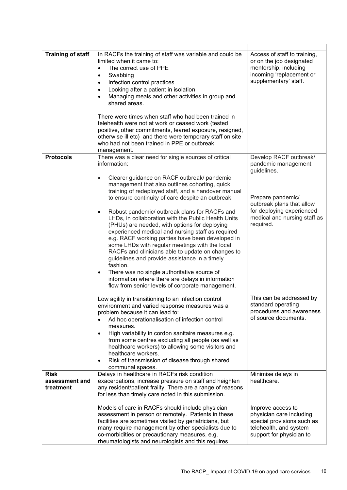| <b>Training of staff</b>      | In RACFs the training of staff was variable and could be<br>limited when it came to:<br>The correct use of PPE<br>$\bullet$<br>Swabbing<br>$\bullet$<br>Infection control practices<br>$\bullet$<br>Looking after a patient in isolation<br>$\bullet$<br>Managing meals and other activities in group and<br>shared areas.<br>There were times when staff who had been trained in<br>telehealth were not at work or ceased work (tested<br>positive, other commitments, feared exposure, resigned,<br>otherwise ill etc) and there were temporary staff on site<br>who had not been trained in PPE or outbreak<br>management.                                                                                                    | Access of staff to training,<br>or on the job designated<br>mentorship, including<br>incoming 'replacement or<br>supplementary' staff. |
|-------------------------------|----------------------------------------------------------------------------------------------------------------------------------------------------------------------------------------------------------------------------------------------------------------------------------------------------------------------------------------------------------------------------------------------------------------------------------------------------------------------------------------------------------------------------------------------------------------------------------------------------------------------------------------------------------------------------------------------------------------------------------|----------------------------------------------------------------------------------------------------------------------------------------|
| <b>Protocols</b>              | There was a clear need for single sources of critical<br>information:<br>Clearer guidance on RACF outbreak/ pandemic<br>$\bullet$<br>management that also outlines cohorting, quick                                                                                                                                                                                                                                                                                                                                                                                                                                                                                                                                              | Develop RACF outbreak/<br>pandemic management<br>guidelines.                                                                           |
|                               | training of redeployed staff, and a handover manual<br>to ensure continuity of care despite an outbreak.<br>Robust pandemic/ outbreak plans for RACFs and<br>$\bullet$<br>LHDs, in collaboration with the Public Health Units<br>(PHUs) are needed, with options for deploying<br>experienced medical and nursing staff as required<br>e.g. RACF working parties have been developed in<br>some LHDs with regular meetings with the local<br>RACFs and clinicians able to update on changes to<br>guidelines and provide assistance in a timely<br>fashion.<br>There was no single authoritative source of<br>$\bullet$<br>information where there are delays in information<br>flow from senior levels of corporate management. | Prepare pandemic/<br>outbreak plans that allow<br>for deploying experienced<br>medical and nursing staff as<br>required.               |
|                               | Low agility in transitioning to an infection control<br>environment and varied response measures was a<br>problem because it can lead to:<br>Ad hoc operationalisation of infection control<br>measures.<br>High variability in cordon sanitaire measures e.g.<br>٠<br>from some centres excluding all people (as well as<br>healthcare workers) to allowing some visitors and<br>healthcare workers.<br>Risk of transmission of disease through shared<br>$\bullet$<br>communal spaces.                                                                                                                                                                                                                                         | This can be addressed by<br>standard operating<br>procedures and awareness<br>of source documents.                                     |
| <b>Risk</b><br>assessment and | Delays in healthcare in RACFs risk condition<br>exacerbations, increase pressure on staff and heighten                                                                                                                                                                                                                                                                                                                                                                                                                                                                                                                                                                                                                           | Minimise delays in<br>healthcare.                                                                                                      |
| treatment                     | any resident/patient frailty. There are a range of reasons<br>for less than timely care noted in this submission.                                                                                                                                                                                                                                                                                                                                                                                                                                                                                                                                                                                                                |                                                                                                                                        |
|                               | Models of care in RACFs should include physician<br>assessment in person or remotely. Patients in these<br>facilities are sometimes visited by geriatricians, but<br>many require management by other specialists due to<br>co-morbidities or precautionary measures, e.g.<br>rheumatologists and neurologists and this requires                                                                                                                                                                                                                                                                                                                                                                                                 | Improve access to<br>physician care including<br>special provisions such as<br>telehealth, and system<br>support for physician to      |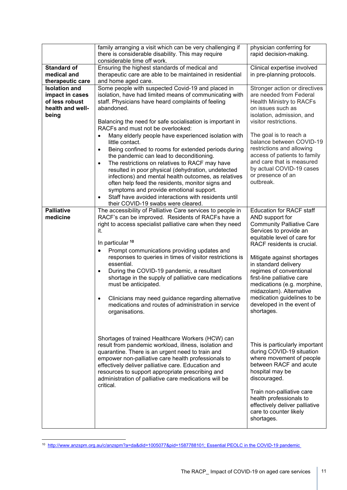|                                                                                        | family arranging a visit which can be very challenging if<br>there is considerable disability. This may require<br>considerable time off work.                                                                                                                                                                                                                                                                                                                                                                                                                                                                               | physician conferring for<br>rapid decision-making.                                                                                                                                                                                                                                                                                                                                                                               |
|----------------------------------------------------------------------------------------|------------------------------------------------------------------------------------------------------------------------------------------------------------------------------------------------------------------------------------------------------------------------------------------------------------------------------------------------------------------------------------------------------------------------------------------------------------------------------------------------------------------------------------------------------------------------------------------------------------------------------|----------------------------------------------------------------------------------------------------------------------------------------------------------------------------------------------------------------------------------------------------------------------------------------------------------------------------------------------------------------------------------------------------------------------------------|
| <b>Standard of</b><br>medical and<br>therapeutic care                                  | Ensuring the highest standards of medical and<br>therapeutic care are able to be maintained in residential<br>and home aged care.                                                                                                                                                                                                                                                                                                                                                                                                                                                                                            | Clinical expertise involved<br>in pre-planning protocols.                                                                                                                                                                                                                                                                                                                                                                        |
| <b>Isolation and</b><br>impact in cases<br>of less robust<br>health and well-<br>being | Some people with suspected Covid-19 and placed in<br>isolation, have had limited means of communicating with<br>staff. Physicians have heard complaints of feeling<br>abandoned.<br>Balancing the need for safe socialisation is important in<br>RACFs and must not be overlooked:                                                                                                                                                                                                                                                                                                                                           | Stronger action or directives<br>are needed from Federal<br><b>Health Ministry to RACFs</b><br>on issues such as<br>isolation, admission, and<br>visitor restrictions.                                                                                                                                                                                                                                                           |
|                                                                                        | Many elderly people have experienced isolation with<br>$\bullet$<br>little contact.<br>Being confined to rooms for extended periods during<br>$\bullet$<br>the pandemic can lead to deconditioning.<br>The restrictions on relatives to RACF may have<br>$\bullet$<br>resulted in poor physical (dehydration, undetected<br>infections) and mental health outcomes, as relatives<br>often help feed the residents, monitor signs and<br>symptoms and provide emotional support.<br>Staff have avoided interactions with residents until<br>$\bullet$<br>their COVID-19 swabs were cleared.                                   | The goal is to reach a<br>balance between COVID-19<br>restrictions and allowing<br>access of patients to family<br>and care that is measured<br>by actual COVID-19 cases<br>or presence of an<br>outbreak.                                                                                                                                                                                                                       |
| <b>Palliative</b><br>medicine                                                          | The accessibility of Palliative Care services to people in<br>RACF's can be improved. Residents of RACFs have a<br>right to access specialist palliative care when they need<br>it.<br>In particular 10<br>Prompt communications providing updates and<br>٠<br>responses to queries in times of visitor restrictions is<br>essential.<br>During the COVID-19 pandemic, a resultant<br>$\bullet$<br>shortage in the supply of palliative care medications<br>must be anticipated.<br>Clinicians may need guidance regarding alternative<br>$\bullet$<br>medications and routes of administration in service<br>organisations. | <b>Education for RACF staff</b><br>AND support for<br><b>Community Palliative Care</b><br>Services to provide an<br>equitable level of care for<br>RACF residents is crucial.<br>Mitigate against shortages<br>in standard delivery<br>regimes of conventional<br>first-line palliative care<br>medications (e.g. morphine,<br>midazolam). Alternative<br>medication guidelines to be<br>developed in the event of<br>shortages. |
|                                                                                        | Shortages of trained Healthcare Workers (HCW) can<br>result from pandemic workload, illness, isolation and<br>quarantine. There is an urgent need to train and<br>empower non-palliative care health professionals to<br>effectively deliver palliative care. Education and<br>resources to support appropriate prescribing and<br>administration of palliative care medications will be<br>critical.                                                                                                                                                                                                                        | This is particularly important<br>during COVID-19 situation<br>where movement of people<br>between RACF and acute<br>hospital may be<br>discouraged.<br>Train non-palliative care<br>health professionals to<br>effectively deliver palliative<br>care to counter likely<br>shortages.                                                                                                                                           |

<span id="page-10-0"></span><sup>10</sup> [http://www.anzspm.org.au/c/anzspm?a=da&did=1005077&pid=1587788101;](http://www.anzspm.org.au/c/anzspm?a=da&did=1005077&pid=1587788101) [Essential PEOLC in the COVID-19 pandemic](http://www.anzspm.org.au/c/anzspm?a=sendfile&ft=p&fid=1590048331&sid=)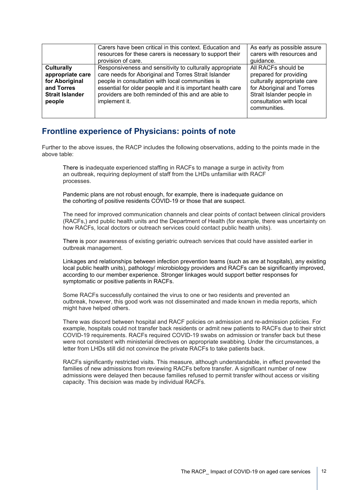|                        | Carers have been critical in this context. Education and   | As early as possible assure |
|------------------------|------------------------------------------------------------|-----------------------------|
|                        | resources for these carers is necessary to support their   | carers with resources and   |
|                        | provision of care.                                         | guidance.                   |
| <b>Culturally</b>      | Responsiveness and sensitivity to culturally appropriate   | All RACFs should be         |
| appropriate care       | care needs for Aboriginal and Torres Strait Islander       | prepared for providing      |
| for Aboriginal         | people in consultation with local communities is           | culturally appropriate care |
| and Torres             | essential for older people and it is important health care | for Aboriginal and Torres   |
| <b>Strait Islander</b> | providers are both reminded of this and are able to        | Strait Islander people in   |
| people                 | implement it.                                              | consultation with local     |
|                        |                                                            | communities.                |
|                        |                                                            |                             |

#### **Frontline experience of Physicians: points of note**

Further to the above issues, the RACP includes the following observations, adding to the points made in the above table:

There is inadequate experienced staffing in RACFs to manage a surge in activity from an outbreak, requiring deployment of staff from the LHDs unfamiliar with RACF processes.

Pandemic plans are not robust enough, for example, there is inadequate guidance on the cohorting of positive residents COVID-19 or those that are suspect.

The need for improved communication channels and clear points of contact between clinical providers (RACFs,) and public health units and the Department of Health (for example, there was uncertainty on how RACFs, local doctors or outreach services could contact public health units).

There is poor awareness of existing geriatric outreach services that could have assisted earlier in outbreak management.

Linkages and relationships between infection prevention teams (such as are at hospitals), any existing local public health units), pathology/ microbiology providers and RACFs can be significantly improved, according to our member experience. Stronger linkages would support better responses for symptomatic or positive patients in RACFs.

Some RACFs successfully contained the virus to one or two residents and prevented an outbreak, however, this good work was not disseminated and made known in media reports, which might have helped others.

There was discord between hospital and RACF policies on admission and re-admission policies. For example, hospitals could not transfer back residents or admit new patients to RACFs due to their strict COVID-19 requirements. RACFs required COVID-19 swabs on admission or transfer back but these were not consistent with ministerial directives on appropriate swabbing. Under the circumstances, a letter from LHDs still did not convince the private RACFs to take patients back.

RACFs significantly restricted visits. This measure, although understandable, in effect prevented the families of new admissions from reviewing RACFs before transfer. A significant number of new admissions were delayed then because families refused to permit transfer without access or visiting capacity. This decision was made by individual RACFs.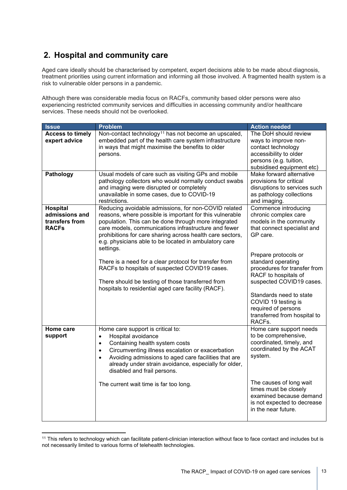### **2. Hospital and community care**

Aged care ideally should be characterised by competent, expert decisions able to be made about diagnosis, treatment priorities using current information and informing all those involved. A fragmented health system is a risk to vulnerable older persons in a pandemic.

Although there was considerable media focus on RACFs, community based older persons were also experiencing restricted community services and difficulties in accessing community and/or healthcare services. These needs should not be overlooked.

| <b>Issue</b>                                                        | <b>Problem</b>                                                                                                                                                                                                                                                                                                                                                                                                                                                                                                                                                                              | <b>Action needed</b>                                                                                                                                                                                                                                                                                                                                                    |
|---------------------------------------------------------------------|---------------------------------------------------------------------------------------------------------------------------------------------------------------------------------------------------------------------------------------------------------------------------------------------------------------------------------------------------------------------------------------------------------------------------------------------------------------------------------------------------------------------------------------------------------------------------------------------|-------------------------------------------------------------------------------------------------------------------------------------------------------------------------------------------------------------------------------------------------------------------------------------------------------------------------------------------------------------------------|
| <b>Access to timely</b><br>expert advice                            | Non-contact technology <sup>11</sup> has not become an upscaled,<br>embedded part of the health care system infrastructure<br>in ways that might maximise the benefits to older<br>persons.                                                                                                                                                                                                                                                                                                                                                                                                 | The DoH should review<br>ways to improve non-<br>contact technology<br>accessibility to older<br>persons (e.g. tuition,<br>subsidised equipment etc)                                                                                                                                                                                                                    |
| Pathology                                                           | Usual models of care such as visiting GPs and mobile<br>pathology collectors who would normally conduct swabs<br>and imaging were disrupted or completely<br>unavailable in some cases, due to COVID-19<br>restrictions.                                                                                                                                                                                                                                                                                                                                                                    | Make forward alternative<br>provisions for critical<br>disruptions to services such<br>as pathology collections<br>and imaging.                                                                                                                                                                                                                                         |
| <b>Hospital</b><br>admissions and<br>transfers from<br><b>RACFs</b> | Reducing avoidable admissions, for non-COVID related<br>reasons, where possible is important for this vulnerable<br>population. This can be done through more integrated<br>care models, communications infrastructure and fewer<br>prohibitions for care sharing across health care sectors,<br>e.g. physicians able to be located in ambulatory care<br>settings.<br>There is a need for a clear protocol for transfer from<br>RACFs to hospitals of suspected COVID19 cases.<br>There should be testing of those transferred from<br>hospitals to residential aged care facility (RACF). | Commence introducing<br>chronic complex care<br>models in the community<br>that connect specialist and<br>GP care.<br>Prepare protocols or<br>standard operating<br>procedures for transfer from<br>RACF to hospitals of<br>suspected COVID19 cases.<br>Standards need to state<br>COVID 19 testing is<br>required of persons<br>transferred from hospital to<br>RACFs. |
| Home care<br>support                                                | Home care support is critical to:<br>Hospital avoidance<br>$\bullet$<br>Containing health system costs<br>$\bullet$<br>Circumventing illness escalation or exacerbation<br>$\bullet$<br>Avoiding admissions to aged care facilities that are<br>$\bullet$<br>already under strain avoidance, especially for older,<br>disabled and frail persons.<br>The current wait time is far too long.                                                                                                                                                                                                 | Home care support needs<br>to be comprehensive,<br>coordinated, timely, and<br>coordinated by the ACAT<br>system.<br>The causes of long wait<br>times must be closely<br>examined because demand<br>is not expected to decrease<br>in the near future.                                                                                                                  |

<span id="page-12-0"></span><sup>11</sup> This refers to technology which can facilitate patient-clinician interaction without face to face contact and includes but is not necessarily limited to various forms of telehealth technologies.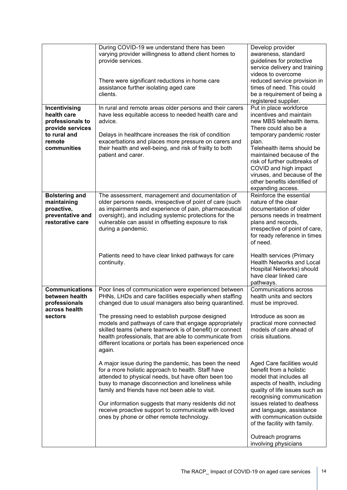|                                                                                                               | During COVID-19 we understand there has been<br>varying provider willingness to attend client homes to<br>provide services.<br>There were significant reductions in home care<br>assistance further isolating aged care<br>clients.                                                                                                                                                                                                                                              | Develop provider<br>awareness, standard<br>guidelines for protective<br>service delivery and training<br>videos to overcome<br>reduced service provision in<br>times of need. This could<br>be a requirement of being a<br>registered supplier.                                                                                                       |
|---------------------------------------------------------------------------------------------------------------|----------------------------------------------------------------------------------------------------------------------------------------------------------------------------------------------------------------------------------------------------------------------------------------------------------------------------------------------------------------------------------------------------------------------------------------------------------------------------------|-------------------------------------------------------------------------------------------------------------------------------------------------------------------------------------------------------------------------------------------------------------------------------------------------------------------------------------------------------|
| Incentivising<br>health care<br>professionals to<br>provide services<br>to rural and<br>remote<br>communities | In rural and remote areas older persons and their carers<br>have less equitable access to needed health care and<br>advice.<br>Delays in healthcare increases the risk of condition<br>exacerbations and places more pressure on carers and<br>their health and well-being, and risk of frailty to both<br>patient and carer.                                                                                                                                                    | Put in place workforce<br>incentives and maintain<br>new MBS telehealth items.<br>There could also be a<br>temporary pandemic roster<br>plan.<br>Telehealth items should be<br>maintained because of the<br>risk of further outbreaks of<br>COVID and high impact<br>viruses, and because of the<br>other benefits identified of<br>expanding access. |
| <b>Bolstering and</b><br>maintaining<br>proactive,<br>preventative and<br>restorative care                    | The assessment, management and documentation of<br>older persons needs, irrespective of point of care (such<br>as impairments and experience of pain, pharmaceutical<br>oversight), and including systemic protections for the<br>vulnerable can assist in offsetting exposure to risk<br>during a pandemic.<br>Patients need to have clear linked pathways for care<br>continuity.                                                                                              | Reinforce the essential<br>nature of the clear<br>documentation of older<br>persons needs in treatment<br>plans and records,<br>irrespective of point of care,<br>for ready reference in times<br>of need.<br>Health services (Primary<br>Health Networks and Local<br>Hospital Networks) should                                                      |
|                                                                                                               |                                                                                                                                                                                                                                                                                                                                                                                                                                                                                  | have clear linked care<br>pathways.                                                                                                                                                                                                                                                                                                                   |
| <b>Communications</b><br>between health<br>professionals<br>across health<br>sectors                          | Poor lines of communication were experienced between<br>PHNs, LHDs and care facilities especially when staffing<br>changed due to usual managers also being quarantined.<br>The pressing need to establish purpose designed<br>models and pathways of care that engage appropriately<br>skilled teams (where teamwork is of benefit) or connect<br>health professionals, that are able to communicate from<br>different locations or portals has been experienced once<br>again. | Communications across<br>health units and sectors<br>must be improved.<br>Introduce as soon as<br>practical more connected<br>models of care ahead of<br>crisis situations.                                                                                                                                                                           |
|                                                                                                               | A major issue during the pandemic, has been the need<br>for a more holistic approach to health. Staff have<br>attended to physical needs, but have often been too<br>busy to manage disconnection and loneliness while<br>family and friends have not been able to visit.<br>Our information suggests that many residents did not<br>receive proactive support to communicate with loved<br>ones by phone or other remote technology.                                            | Aged Care facilities would<br>benefit from a holistic<br>model that includes all<br>aspects of health, including<br>quality of life issues such as<br>recognising communication<br>issues related to deafness<br>and language, assistance<br>with communication outside<br>of the facility with family.                                               |
|                                                                                                               |                                                                                                                                                                                                                                                                                                                                                                                                                                                                                  | Outreach programs<br>involving physicians                                                                                                                                                                                                                                                                                                             |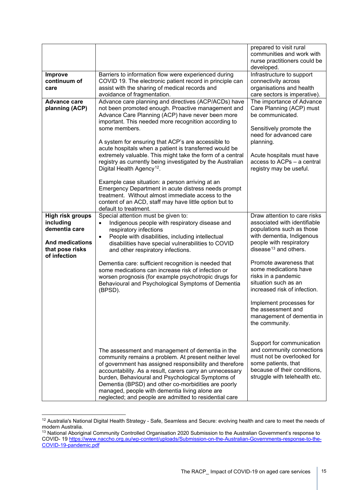|                                                                                                                    |                                                                                                                                                                                                                                                                                                                                                                                                                                                          | prepared to visit rural<br>communities and work with<br>nurse practitioners could be<br>developed.                                                                            |
|--------------------------------------------------------------------------------------------------------------------|----------------------------------------------------------------------------------------------------------------------------------------------------------------------------------------------------------------------------------------------------------------------------------------------------------------------------------------------------------------------------------------------------------------------------------------------------------|-------------------------------------------------------------------------------------------------------------------------------------------------------------------------------|
| <b>Improve</b><br>continuum of<br>care                                                                             | Barriers to information flow were experienced during<br>COVID 19. The electronic patient record in principle can<br>assist with the sharing of medical records and<br>avoidance of fragmentation.                                                                                                                                                                                                                                                        | Infrastructure to support<br>connectivity across<br>organisations and health<br>care sectors is imperative).                                                                  |
| <b>Advance care</b><br>planning (ACP)                                                                              | Advance care planning and directives (ACP/ACDs) have<br>not been promoted enough. Proactive management and<br>Advance Care Planning (ACP) have never been more<br>important. This needed more recognition according to<br>some members.<br>A system for ensuring that ACP's are accessible to                                                                                                                                                            | The importance of Advance<br>Care Planning (ACP) must<br>be communicated.<br>Sensitively promote the<br>need for advanced care<br>planning.                                   |
|                                                                                                                    | acute hospitals when a patient is transferred would be<br>extremely valuable. This might take the form of a central<br>registry as currently being investigated by the Australian<br>Digital Health Agency <sup>12</sup> .                                                                                                                                                                                                                               | Acute hospitals must have<br>access to ACPs - a central<br>registry may be useful.                                                                                            |
|                                                                                                                    | Example case situation: a person arriving at an<br>Emergency Department in acute distress needs prompt<br>treatment. Without almost immediate access to the<br>content of an ACD, staff may have little option but to<br>default to treatment.                                                                                                                                                                                                           |                                                                                                                                                                               |
| <b>High risk groups</b><br>including<br>dementia care<br><b>And medications</b><br>that pose risks<br>of infection | Special attention must be given to:<br>Indigenous people with respiratory disease and<br>$\bullet$<br>respiratory infections<br>People with disabilities, including intellectual<br>$\bullet$<br>disabilities have special vulnerabilities to COVID<br>and other respiratory infections.                                                                                                                                                                 | Draw attention to care risks<br>associated with identifiable<br>populations such as those<br>with dementia, Indigenous<br>people with respiratory<br>disease $13$ and others. |
|                                                                                                                    | Dementia care: sufficient recognition is needed that<br>some medications can increase risk of infection or<br>worsen prognosis (for example psychotropic drugs for<br>Behavioural and Psychological Symptoms of Dementia<br>(BPSD).                                                                                                                                                                                                                      | Promote awareness that<br>some medications have<br>risks in a pandemic<br>situation such as an<br>increased risk of infection.                                                |
|                                                                                                                    |                                                                                                                                                                                                                                                                                                                                                                                                                                                          | Implement processes for<br>the assessment and<br>management of dementia in<br>the community.                                                                                  |
|                                                                                                                    | The assessment and management of dementia in the<br>community remains a problem. At present neither level<br>of government has assigned responsibility and therefore<br>accountability. As a result, carers carry an unnecessary<br>burden, Behavioural and Psychological Symptoms of<br>Dementia (BPSD) and other co-morbidities are poorly<br>managed, people with dementia living alone are<br>neglected; and people are admitted to residential care | Support for communication<br>and community connections<br>must not be overlooked for<br>some patients, that<br>because of their conditions,<br>struggle with telehealth etc.  |

<span id="page-14-0"></span><sup>&</sup>lt;sup>12</sup> Australia's National Digital Health Strategy - Safe, Seamless and Secure: evolving health and care to meet the needs of modern Australia. modern Australia.

<span id="page-14-1"></span> $13$  National Aboriginal Community Controlled Organisation 2020 Submission to the Australian Government's response to COVID- 19 [https://www.naccho.org.au/wp-content/uploads/Submission-on-the-Australian-Governments-response-to-the-](https://www.naccho.org.au/wp-content/uploads/Submission-on-the-Australian-Governments-response-to-the-COVID-19-pandemic.pdf)[COVID-19-pandemic.pdf](https://www.naccho.org.au/wp-content/uploads/Submission-on-the-Australian-Governments-response-to-the-COVID-19-pandemic.pdf)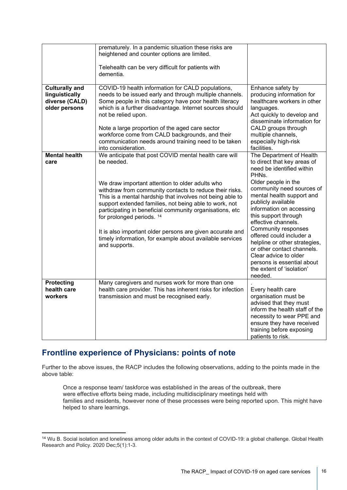|                                                                            | prematurely. In a pandemic situation these risks are<br>heightened and counter options are limited.                                                                                                                                                                                                                                                                                                                                            |                                                                                                                                                                                                                                              |
|----------------------------------------------------------------------------|------------------------------------------------------------------------------------------------------------------------------------------------------------------------------------------------------------------------------------------------------------------------------------------------------------------------------------------------------------------------------------------------------------------------------------------------|----------------------------------------------------------------------------------------------------------------------------------------------------------------------------------------------------------------------------------------------|
|                                                                            | Telehealth can be very difficult for patients with<br>dementia.                                                                                                                                                                                                                                                                                                                                                                                |                                                                                                                                                                                                                                              |
| <b>Culturally and</b><br>linguistically<br>diverse (CALD)<br>older persons | COVID-19 health information for CALD populations,<br>needs to be issued early and through multiple channels.<br>Some people in this category have poor health literacy<br>which is a further disadvantage. Internet sources should<br>not be relied upon.<br>Note a large proportion of the aged care sector<br>workforce come from CALD backgrounds, and their<br>communication needs around training need to be taken<br>into consideration. | Enhance safety by<br>producing information for<br>healthcare workers in other<br>languages.<br>Act quickly to develop and<br>disseminate information for<br>CALD groups through<br>multiple channels,<br>especially high-risk<br>facilities. |
| <b>Mental health</b><br>care                                               | We anticipate that post COVID mental health care will<br>be needed.                                                                                                                                                                                                                                                                                                                                                                            | The Department of Health<br>to direct that key areas of<br>need be identified within<br>PHNs.                                                                                                                                                |
|                                                                            | We draw important attention to older adults who<br>withdraw from community contacts to reduce their risks.<br>This is a mental hardship that involves not being able to<br>support extended families, not being able to work, not<br>participating in beneficial community organisations, etc<br>for prolonged periods. 14                                                                                                                     | Older people in the<br>community need sources of<br>mental health support and<br>publicly available<br>information on accessing<br>this support through<br>effective channels.                                                               |
|                                                                            | It is also important older persons are given accurate and<br>timely information, for example about available services<br>and supports.                                                                                                                                                                                                                                                                                                         | <b>Community responses</b><br>offered could includer a<br>helpline or other strategies,<br>or other contact channels.<br>Clear advice to older<br>persons is essential about<br>the extent of 'isolation'<br>needed.                         |
| Protecting<br>health care<br>workers                                       | Many caregivers and nurses work for more than one<br>health care provider. This has inherent risks for infection<br>transmission and must be recognised early.                                                                                                                                                                                                                                                                                 | Every health care<br>organisation must be<br>advised that they must<br>inform the health staff of the<br>necessity to wear PPE and<br>ensure they have received<br>training before exposing<br>patients to risk.                             |

#### **Frontline experience of Physicians: points of note**

Further to the above issues, the RACP includes the following observations, adding to the points made in the above table:

Once a response team/ taskforce was established in the areas of the outbreak, there were effective efforts being made, including multidisciplinary meetings held with families and residents, however none of these processes were being reported upon. This might have helped to share learnings.

<span id="page-15-0"></span><sup>14</sup> Wu B. Social isolation and loneliness among older adults in the context of COVID-19: a global challenge. Global Health Research and Policy. 2020 Dec;5(1):1-3.